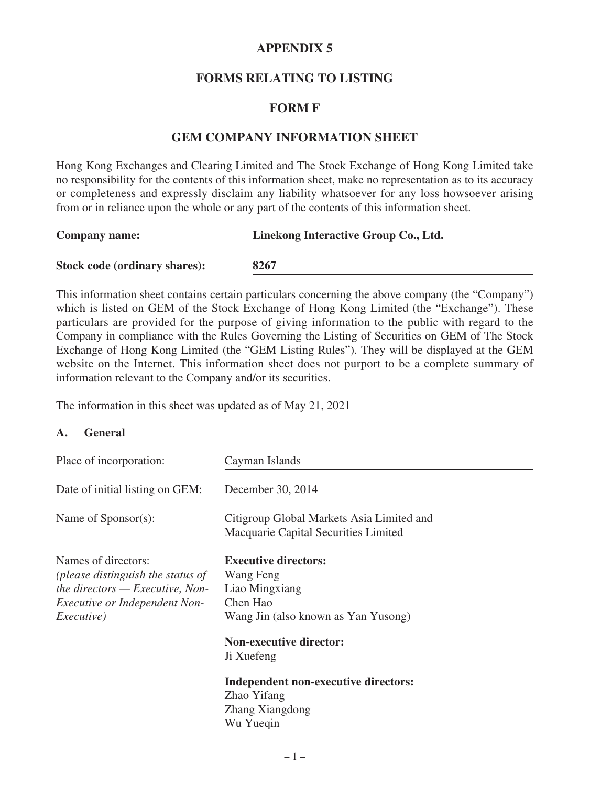# **APPENDIX 5**

# **FORMS RELATING TO LISTING**

## **FORM F**

## **GEM COMPANY INFORMATION SHEET**

Hong Kong Exchanges and Clearing Limited and The Stock Exchange of Hong Kong Limited take no responsibility for the contents of this information sheet, make no representation as to its accuracy or completeness and expressly disclaim any liability whatsoever for any loss howsoever arising from or in reliance upon the whole or any part of the contents of this information sheet.

| <b>Company name:</b>                 | Linekong Interactive Group Co., Ltd. |
|--------------------------------------|--------------------------------------|
| <b>Stock code (ordinary shares):</b> | 8267                                 |
|                                      |                                      |

This information sheet contains certain particulars concerning the above company (the "Company") which is listed on GEM of the Stock Exchange of Hong Kong Limited (the "Exchange"). These particulars are provided for the purpose of giving information to the public with regard to the Company in compliance with the Rules Governing the Listing of Securities on GEM of The Stock Exchange of Hong Kong Limited (the "GEM Listing Rules"). They will be displayed at the GEM website on the Internet. This information sheet does not purport to be a complete summary of information relevant to the Company and/or its securities.

The information in this sheet was updated as of May 21, 2021

### **A. General**

| Place of incorporation:                                                                                                                                     | Cayman Islands                                                                                                                                  |
|-------------------------------------------------------------------------------------------------------------------------------------------------------------|-------------------------------------------------------------------------------------------------------------------------------------------------|
| Date of initial listing on GEM:                                                                                                                             | December 30, 2014                                                                                                                               |
| Name of Sponsor(s):                                                                                                                                         | Citigroup Global Markets Asia Limited and<br>Macquarie Capital Securities Limited                                                               |
| Names of directors:<br>(please distinguish the status of<br>the directors $-$ Executive, Non-<br><i>Executive or Independent Non-</i><br><i>Executive</i> ) | <b>Executive directors:</b><br>Wang Feng<br>Liao Mingxiang<br>Chen Hao<br>Wang Jin (also known as Yan Yusong)<br><b>Non-executive director:</b> |
|                                                                                                                                                             | Ji Xuefeng<br>Independent non-executive directors:<br>Zhao Yifang<br>Zhang Xiangdong<br>Wu Yueqin                                               |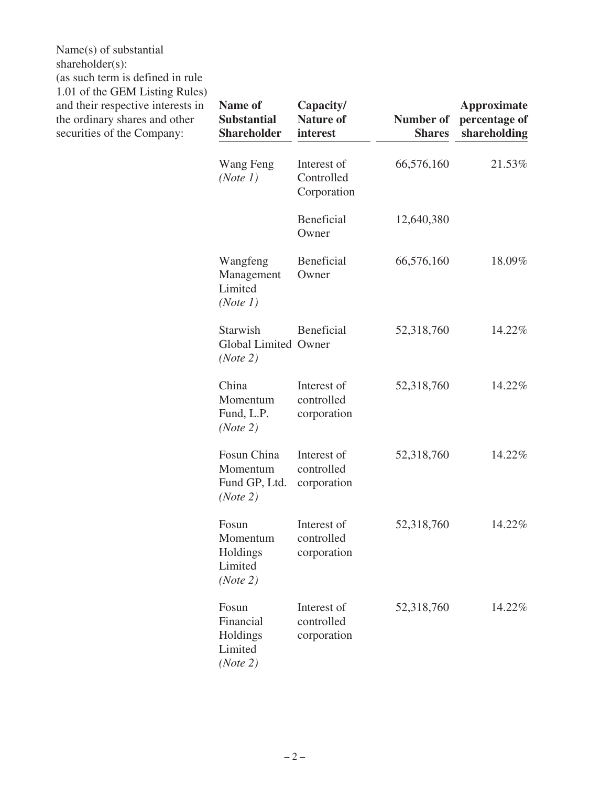Name(s) of substantial shareholder(s): (as such term is defined in rule 1.01 of the GEM Listing Rules) and their respective interests in the ordinary shares and other securities of the Company:

| <b>Name of</b><br><b>Substantial</b><br><b>Shareholder</b> | Capacity/<br><b>Nature of</b><br>interest | Number of<br><b>Shares</b> | <b>Approximate</b><br>percentage of<br>shareholding |
|------------------------------------------------------------|-------------------------------------------|----------------------------|-----------------------------------------------------|
| Wang Feng<br>(Note 1)                                      | Interest of<br>Controlled<br>Corporation  | 66,576,160                 | 21.53%                                              |
|                                                            | <b>Beneficial</b><br>Owner                | 12,640,380                 |                                                     |
| Wangfeng<br>Management<br>Limited<br>(Note 1)              | <b>Beneficial</b><br>Owner                | 66,576,160                 | 18.09%                                              |
| Starwish<br><b>Global Limited Owner</b><br>(Note 2)        | Beneficial                                | 52,318,760                 | 14.22%                                              |
| China<br>Momentum<br>Fund, L.P.<br>(Note 2)                | Interest of<br>controlled<br>corporation  | 52,318,760                 | 14.22%                                              |
| Fosun China<br>Momentum<br>Fund GP, Ltd.<br>(Note 2)       | Interest of<br>controlled<br>corporation  | 52,318,760                 | 14.22%                                              |
| Fosun<br>Momentum<br>Holdings<br>Limited<br>(Note 2)       | Interest of<br>controlled<br>corporation  | 52,318,760                 | 14.22%                                              |
| Fosun<br>Financial<br>Holdings<br>Limited<br>(Note 2)      | Interest of<br>controlled<br>corporation  | 52,318,760                 | 14.22%                                              |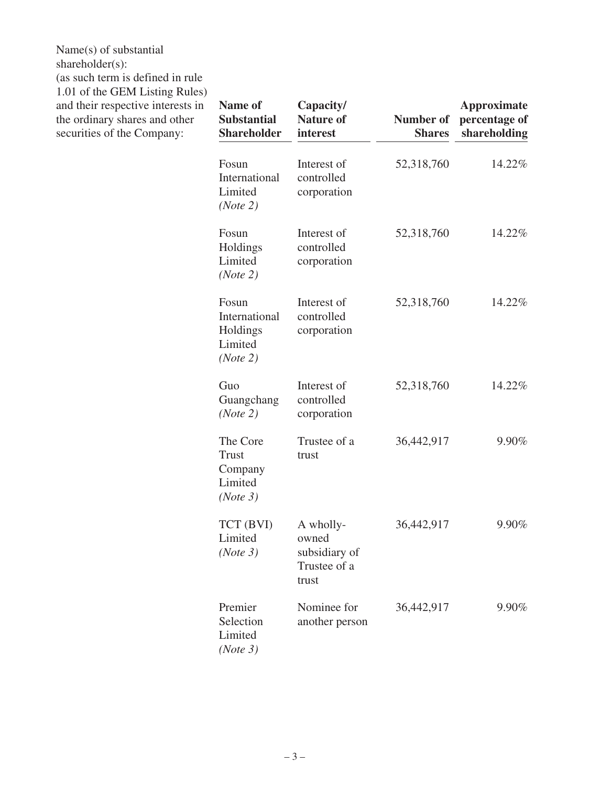Name(s) of substantial shareholder(s): (as such term is defined in rule 1.01 of the GEM Listing Rules) and their respective interests in the ordinary shares and other

securities of the Company:

| <b>Name of</b><br><b>Substantial</b><br><b>Shareholder</b> | Capacity/<br><b>Nature of</b><br>interest                    | <b>Number of</b><br><b>Shares</b> | <b>Approximate</b><br>percentage of<br>shareholding |
|------------------------------------------------------------|--------------------------------------------------------------|-----------------------------------|-----------------------------------------------------|
| Fosun<br>International<br>Limited<br>(Note 2)              | Interest of<br>controlled<br>corporation                     | 52,318,760                        | 14.22%                                              |
| Fosun<br>Holdings<br>Limited<br>(Note 2)                   | Interest of<br>controlled<br>corporation                     | 52,318,760                        | 14.22%                                              |
| Fosun<br>International<br>Holdings<br>Limited<br>(Note 2)  | Interest of<br>controlled<br>corporation                     | 52,318,760                        | 14.22%                                              |
| Guo<br>Guangchang<br>(Note 2)                              | Interest of<br>controlled<br>corporation                     | 52,318,760                        | 14.22%                                              |
| The Core<br><b>Trust</b><br>Company<br>Limited<br>(Note 3) | Trustee of a<br>trust                                        | 36,442,917                        | 9.90%                                               |
| TCT (BVI)<br>Limited<br>(Note 3)                           | A wholly-<br>owned<br>subsidiary of<br>Trustee of a<br>trust | 36,442,917                        | 9.90%                                               |
| Premier<br>Selection<br>Limited<br>(Note 3)                | Nominee for<br>another person                                | 36,442,917                        | 9.90%                                               |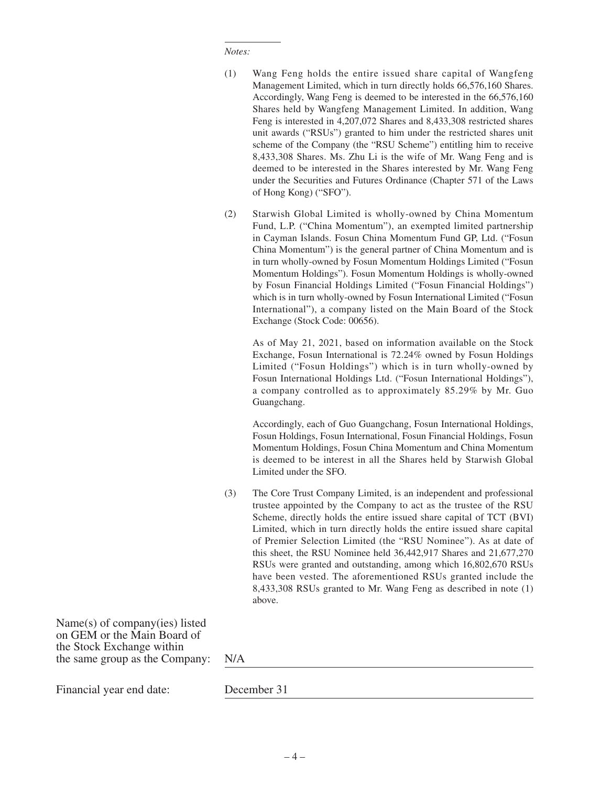#### *Notes:*

- (1) Wang Feng holds the entire issued share capital of Wangfeng Management Limited, which in turn directly holds 66,576,160 Shares. Accordingly, Wang Feng is deemed to be interested in the 66,576,160 Shares held by Wangfeng Management Limited. In addition, Wang Feng is interested in 4,207,072 Shares and 8,433,308 restricted shares unit awards ("RSUs") granted to him under the restricted shares unit scheme of the Company (the "RSU Scheme") entitling him to receive 8,433,308 Shares. Ms. Zhu Li is the wife of Mr. Wang Feng and is deemed to be interested in the Shares interested by Mr. Wang Feng under the Securities and Futures Ordinance (Chapter 571 of the Laws of Hong Kong) ("SFO").
- (2) Starwish Global Limited is wholly-owned by China Momentum Fund, L.P. ("China Momentum"), an exempted limited partnership in Cayman Islands. Fosun China Momentum Fund GP, Ltd. ("Fosun China Momentum") is the general partner of China Momentum and is in turn wholly-owned by Fosun Momentum Holdings Limited ("Fosun Momentum Holdings"). Fosun Momentum Holdings is wholly-owned by Fosun Financial Holdings Limited ("Fosun Financial Holdings") which is in turn wholly-owned by Fosun International Limited ("Fosun International"), a company listed on the Main Board of the Stock Exchange (Stock Code: 00656).

As of May 21, 2021, based on information available on the Stock Exchange, Fosun International is 72.24% owned by Fosun Holdings Limited ("Fosun Holdings") which is in turn wholly-owned by Fosun International Holdings Ltd. ("Fosun International Holdings"), a company controlled as to approximately 85.29% by Mr. Guo Guangchang.

Accordingly, each of Guo Guangchang, Fosun International Holdings, Fosun Holdings, Fosun International, Fosun Financial Holdings, Fosun Momentum Holdings, Fosun China Momentum and China Momentum is deemed to be interest in all the Shares held by Starwish Global Limited under the SFO.

(3) The Core Trust Company Limited, is an independent and professional trustee appointed by the Company to act as the trustee of the RSU Scheme, directly holds the entire issued share capital of TCT (BVI) Limited, which in turn directly holds the entire issued share capital of Premier Selection Limited (the "RSU Nominee"). As at date of this sheet, the RSU Nominee held 36,442,917 Shares and 21,677,270 RSUs were granted and outstanding, among which 16,802,670 RSUs have been vested. The aforementioned RSUs granted include the 8,433,308 RSUs granted to Mr. Wang Feng as described in note (1) above.

Name(s) of company(ies) listed on GEM or the Main Board of the Stock Exchange within the same group as the Company: N/A

Financial year end date: December 31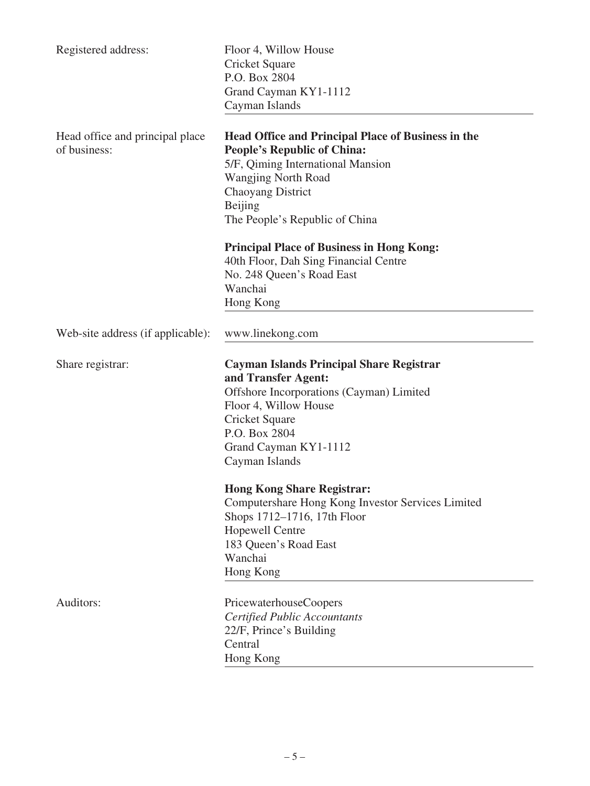| Registered address:                             | Floor 4, Willow House<br>Cricket Square<br>P.O. Box 2804<br>Grand Cayman KY1-1112<br>Cayman Islands                                                                                                                                                                                                                                                                                            |
|-------------------------------------------------|------------------------------------------------------------------------------------------------------------------------------------------------------------------------------------------------------------------------------------------------------------------------------------------------------------------------------------------------------------------------------------------------|
| Head office and principal place<br>of business: | <b>Head Office and Principal Place of Business in the</b><br><b>People's Republic of China:</b><br>5/F, Qiming International Mansion<br><b>Wangjing North Road</b><br>Chaoyang District<br>Beijing<br>The People's Republic of China                                                                                                                                                           |
|                                                 | <b>Principal Place of Business in Hong Kong:</b><br>40th Floor, Dah Sing Financial Centre<br>No. 248 Queen's Road East<br>Wanchai<br>Hong Kong                                                                                                                                                                                                                                                 |
| Web-site address (if applicable):               | www.linekong.com                                                                                                                                                                                                                                                                                                                                                                               |
| Share registrar:                                | Cayman Islands Principal Share Registrar<br>and Transfer Agent:<br>Offshore Incorporations (Cayman) Limited<br>Floor 4, Willow House<br>Cricket Square<br>P.O. Box 2804<br>Grand Cayman KY1-1112<br>Cayman Islands<br><b>Hong Kong Share Registrar:</b><br>Computershare Hong Kong Investor Services Limited<br>Shops 1712-1716, 17th Floor<br><b>Hopewell Centre</b><br>183 Queen's Road East |
|                                                 | Wanchai<br>Hong Kong                                                                                                                                                                                                                                                                                                                                                                           |
| Auditors:                                       | PricewaterhouseCoopers<br><b>Certified Public Accountants</b><br>22/F, Prince's Building<br>Central<br>Hong Kong                                                                                                                                                                                                                                                                               |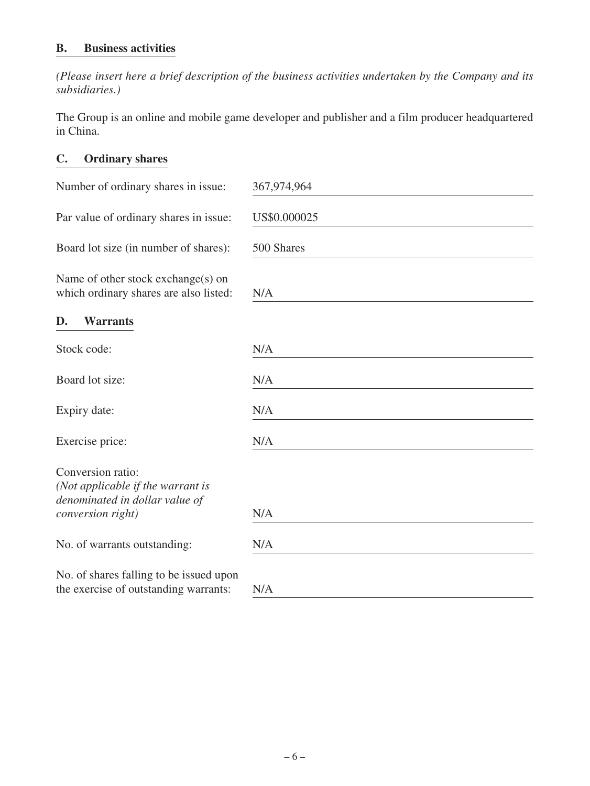# **B. Business activities**

*(Please insert here a brief description of the business activities undertaken by the Company and its subsidiaries.)*

The Group is an online and mobile game developer and publisher and a film producer headquartered in China.

# **C. Ordinary shares**

| Number of ordinary shares in issue:                                                                           | 367,974,964  |
|---------------------------------------------------------------------------------------------------------------|--------------|
| Par value of ordinary shares in issue:                                                                        | US\$0.000025 |
| Board lot size (in number of shares):                                                                         | 500 Shares   |
| Name of other stock exchange(s) on<br>which ordinary shares are also listed:                                  | N/A          |
| <b>Warrants</b><br>D.                                                                                         |              |
| Stock code:                                                                                                   | N/A          |
| Board lot size:                                                                                               | N/A          |
| Expiry date:                                                                                                  | N/A          |
| Exercise price:                                                                                               | N/A          |
| Conversion ratio:<br>(Not applicable if the warrant is<br>denominated in dollar value of<br>conversion right) | N/A          |
| No. of warrants outstanding:                                                                                  | N/A          |
| No. of shares falling to be issued upon<br>the exercise of outstanding warrants:                              | N/A          |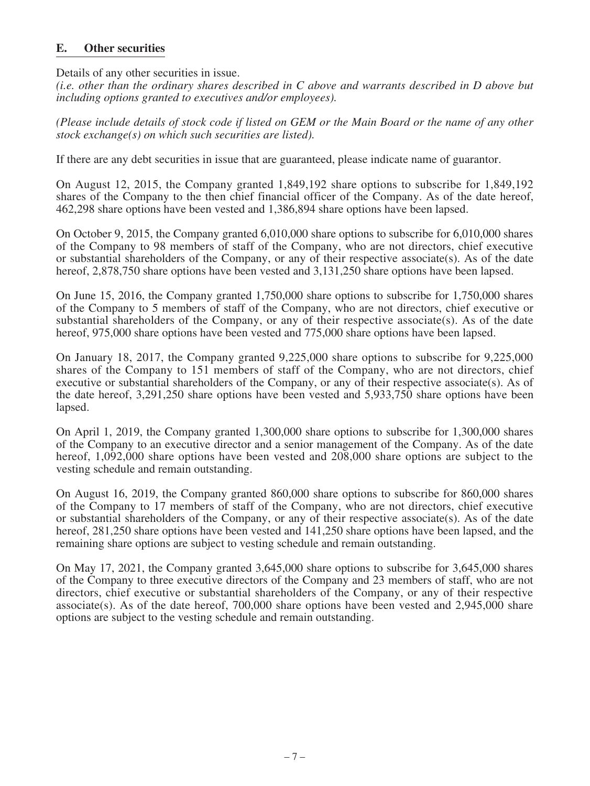## **E. Other securities**

Details of any other securities in issue.

*(i.e. other than the ordinary shares described in C above and warrants described in D above but including options granted to executives and/or employees).*

*(Please include details of stock code if listed on GEM or the Main Board or the name of any other stock exchange(s) on which such securities are listed).*

If there are any debt securities in issue that are guaranteed, please indicate name of guarantor.

On August 12, 2015, the Company granted 1,849,192 share options to subscribe for 1,849,192 shares of the Company to the then chief financial officer of the Company. As of the date hereof, 462,298 share options have been vested and 1,386,894 share options have been lapsed.

On October 9, 2015, the Company granted 6,010,000 share options to subscribe for 6,010,000 shares of the Company to 98 members of staff of the Company, who are not directors, chief executive or substantial shareholders of the Company, or any of their respective associate(s). As of the date hereof, 2,878,750 share options have been vested and 3,131,250 share options have been lapsed.

On June 15, 2016, the Company granted 1,750,000 share options to subscribe for 1,750,000 shares of the Company to 5 members of staff of the Company, who are not directors, chief executive or substantial shareholders of the Company, or any of their respective associate(s). As of the date hereof, 975,000 share options have been vested and 775,000 share options have been lapsed.

On January 18, 2017, the Company granted 9,225,000 share options to subscribe for 9,225,000 shares of the Company to 151 members of staff of the Company, who are not directors, chief executive or substantial shareholders of the Company, or any of their respective associate(s). As of the date hereof, 3,291,250 share options have been vested and 5,933,750 share options have been lapsed.

On April 1, 2019, the Company granted 1,300,000 share options to subscribe for 1,300,000 shares of the Company to an executive director and a senior management of the Company. As of the date hereof, 1,092,000 share options have been vested and 208,000 share options are subject to the vesting schedule and remain outstanding.

On August 16, 2019, the Company granted 860,000 share options to subscribe for 860,000 shares of the Company to 17 members of staff of the Company, who are not directors, chief executive or substantial shareholders of the Company, or any of their respective associate(s). As of the date hereof, 281,250 share options have been vested and 141,250 share options have been lapsed, and the remaining share options are subject to vesting schedule and remain outstanding.

On May 17, 2021, the Company granted 3,645,000 share options to subscribe for 3,645,000 shares of the Company to three executive directors of the Company and 23 members of staff, who are not directors, chief executive or substantial shareholders of the Company, or any of their respective associate(s). As of the date hereof, 700,000 share options have been vested and 2,945,000 share options are subject to the vesting schedule and remain outstanding.